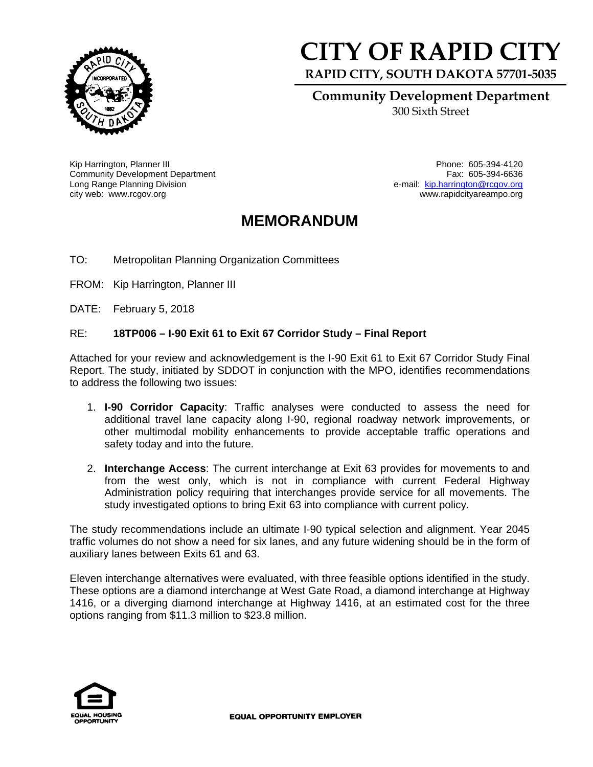

## **CITY OF RAPID CI**

**RAPID CITY, SOUTH DAKOTA 57701-5035** 

**Community Development Department** 

300 Sixth Street

Kip Harrington, Planner III Phone: 605-394-4120 Community Development Department Long Range Planning Division city web: www.rcgov.org www.rapidcityareampo.org

Fax: 605-394-6636 e-mail: kip.harrington@rcgov.org

## **MEMORANDUM**

TO: Metropolitan Planning Organization Committees

FROM: Kip Harrington, Planner III

DATE: February 5, 2018

## RE: **18TP006 – I-90 Exit 61 to Exit 67 Corridor Study – Final Report**

Attached for your review and acknowledgement is the I-90 Exit 61 to Exit 67 Corridor Study Final Report. The study, initiated by SDDOT in conjunction with the MPO, identifies recommendations to address the following two issues:

- 1. **I-90 Corridor Capacity**: Traffic analyses were conducted to assess the need for additional travel lane capacity along I-90, regional roadway network improvements, or other multimodal mobility enhancements to provide acceptable traffic operations and safety today and into the future.
- 2. **Interchange Access**: The current interchange at Exit 63 provides for movements to and from the west only, which is not in compliance with current Federal Highway Administration policy requiring that interchanges provide service for all movements. The study investigated options to bring Exit 63 into compliance with current policy.

The study recommendations include an ultimate I-90 typical selection and alignment. Year 2045 traffic volumes do not show a need for six lanes, and any future widening should be in the form of auxiliary lanes between Exits 61 and 63.

Eleven interchange alternatives were evaluated, with three feasible options identified in the study. These options are a diamond interchange at West Gate Road, a diamond interchange at Highway 1416, or a diverging diamond interchange at Highway 1416, at an estimated cost for the three options ranging from \$11.3 million to \$23.8 million.